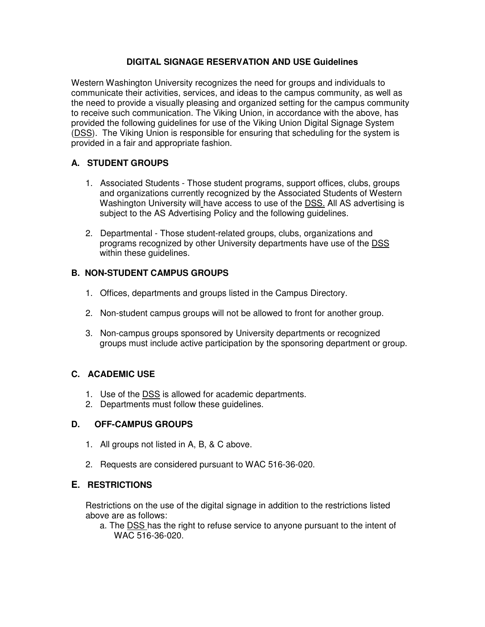## **DIGITAL SIGNAGE RESERVATION AND USE Guidelines**

Western Washington University recognizes the need for groups and individuals to communicate their activities, services, and ideas to the campus community, as well as the need to provide a visually pleasing and organized setting for the campus community to receive such communication. The Viking Union, in accordance with the above, has provided the following guidelines for use of the Viking Union Digital Signage System (DSS). The Viking Union is responsible for ensuring that scheduling for the system is provided in a fair and appropriate fashion.

## **A. STUDENT GROUPS**

- 1. Associated Students Those student programs, support offices, clubs, groups and organizations currently recognized by the Associated Students of Western Washington University will have access to use of the DSS. All AS advertising is subject to the AS Advertising Policy and the following guidelines.
- 2. Departmental Those student-related groups, clubs, organizations and programs recognized by other University departments have use of the DSS within these guidelines.

# **B. NON-STUDENT CAMPUS GROUPS**

- 1. Offices, departments and groups listed in the Campus Directory.
- 2. Non-student campus groups will not be allowed to front for another group.
- 3. Non-campus groups sponsored by University departments or recognized groups must include active participation by the sponsoring department or group.

# **C. ACADEMIC USE**

- 1. Use of the DSS is allowed for academic departments.
- 2. Departments must follow these guidelines.

#### **D. OFF-CAMPUS GROUPS**

- 1. All groups not listed in A, B, & C above.
- 2. Requests are considered pursuant to WAC 516-36-020.

# **E. RESTRICTIONS**

Restrictions on the use of the digital signage in addition to the restrictions listed above are as follows:

a. The DSS has the right to refuse service to anyone pursuant to the intent of WAC 516-36-020.